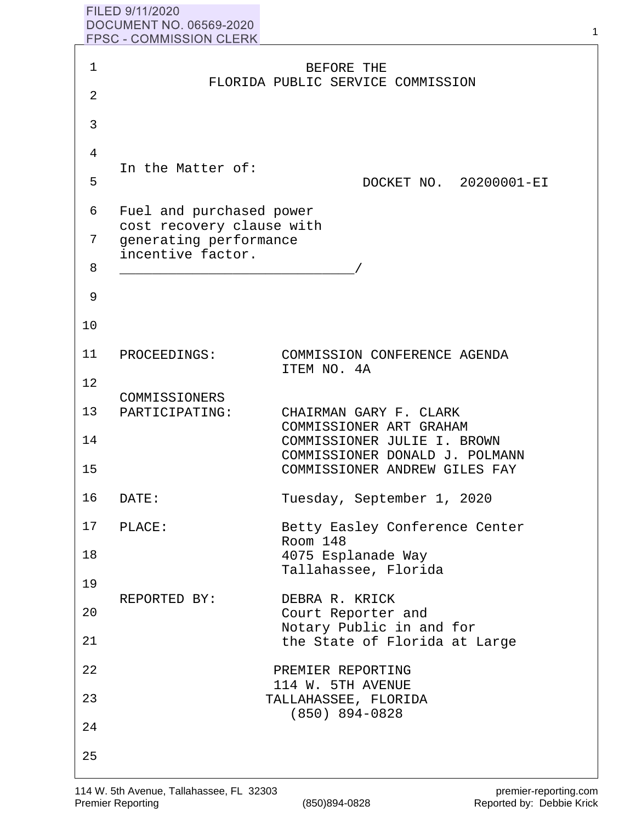## FILED 9/11/2020 **DOCUMENT NO. 06569-2020 FPSC - COMMISSION CLERK**

| 1  |                                                     | BEFORE THE                                                    |
|----|-----------------------------------------------------|---------------------------------------------------------------|
| 2  |                                                     | FLORIDA PUBLIC SERVICE COMMISSION                             |
| 3  |                                                     |                                                               |
| 4  |                                                     |                                                               |
| 5  | In the Matter of:                                   | DOCKET NO. 20200001-EI                                        |
| 6  | Fuel and purchased power                            |                                                               |
| 7  | cost recovery clause with<br>generating performance |                                                               |
| 8  | incentive factor.                                   |                                                               |
| 9  |                                                     |                                                               |
| 10 |                                                     |                                                               |
| 11 | PROCEEDINGS:                                        | COMMISSION CONFERENCE AGENDA<br>ITEM NO. 4A                   |
| 12 | COMMISSIONERS                                       |                                                               |
| 13 | PARTICIPATING:                                      | CHAIRMAN GARY F. CLARK<br>COMMISSIONER ART GRAHAM             |
| 14 |                                                     | COMMISSIONER JULIE I. BROWN<br>COMMISSIONER DONALD J. POLMANN |
| 15 |                                                     | COMMISSIONER ANDREW GILES FAY                                 |
| 16 | DATE:                                               | Tuesday, September 1, 2020                                    |
| 17 | PLACE:                                              | Betty Easley Conference Center<br>Room 148                    |
| 18 |                                                     | 4075 Esplanade Way<br>Tallahassee, Florida                    |
| 19 | REPORTED BY:                                        | DEBRA R. KRICK                                                |
| 20 |                                                     | Court Reporter and<br>Notary Public in and for                |
| 21 |                                                     | the State of Florida at Large                                 |
| 22 |                                                     | PREMIER REPORTING<br>114 W. 5TH AVENUE                        |
| 23 |                                                     | TALLAHASSEE, FLORIDA<br>$(850)$ 894-0828                      |
| 24 |                                                     |                                                               |
| 25 |                                                     |                                                               |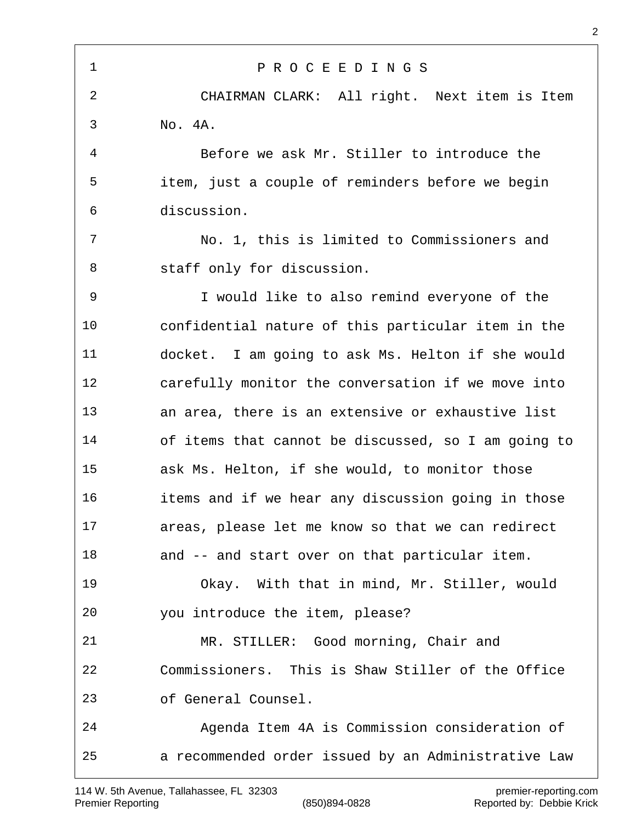P R O C E E D I N G S CHAIRMAN CLARK: All right. Next item is Item No. 4A. Before we ask Mr. Stiller to introduce the item, just a couple of reminders before we begin discussion. No. 1, this is limited to Commissioners and staff only for discussion. I would like to also remind everyone of the confidential nature of this particular item in the docket. I am going to ask Ms. Helton if she would carefully monitor the conversation if we move into an area, there is an extensive or exhaustive list of items that cannot be discussed, so I am going to ask Ms. Helton, if she would, to monitor those items and if we hear any discussion going in those areas, please let me know so that we can redirect and -- and start over on that particular item. Okay. With that in mind, Mr. Stiller, would you introduce the item, please? MR. STILLER: Good morning, Chair and Commissioners. This is Shaw Stiller of the Office of General Counsel. Agenda Item 4A is Commission consideration of a recommended order issued by an Administrative Law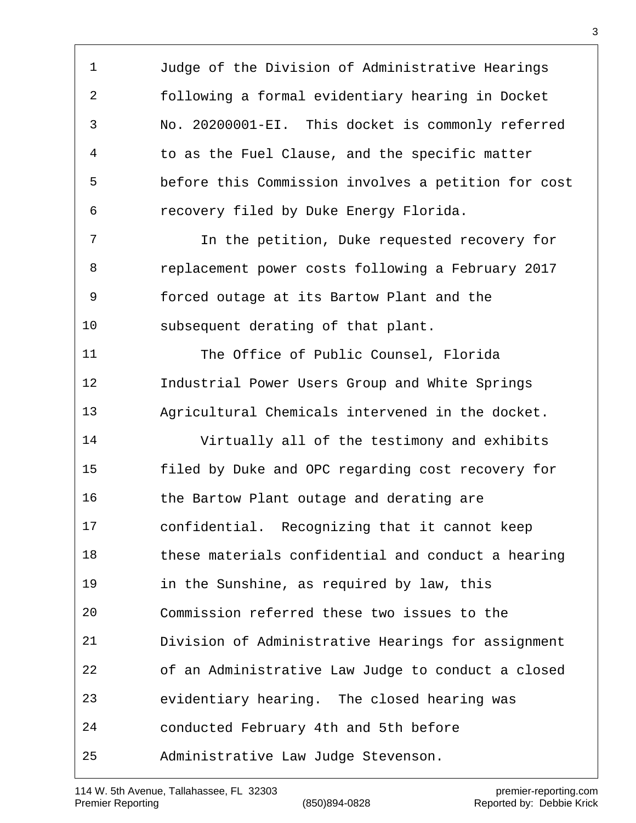Judge of the Division of Administrative Hearings following a formal evidentiary hearing in Docket No. 20200001-EI. This docket is commonly referred to as the Fuel Clause, and the specific matter before this Commission involves a petition for cost recovery filed by Duke Energy Florida. In the petition, Duke requested recovery for replacement power costs following a February 2017 forced outage at its Bartow Plant and the subsequent derating of that plant. The Office of Public Counsel, Florida Industrial Power Users Group and White Springs Agricultural Chemicals intervened in the docket. Virtually all of the testimony and exhibits filed by Duke and OPC regarding cost recovery for 16 the Bartow Plant outage and derating are confidential. Recognizing that it cannot keep these materials confidential and conduct a hearing in the Sunshine, as required by law, this Commission referred these two issues to the Division of Administrative Hearings for assignment of an Administrative Law Judge to conduct a closed evidentiary hearing. The closed hearing was conducted February 4th and 5th before Administrative Law Judge Stevenson.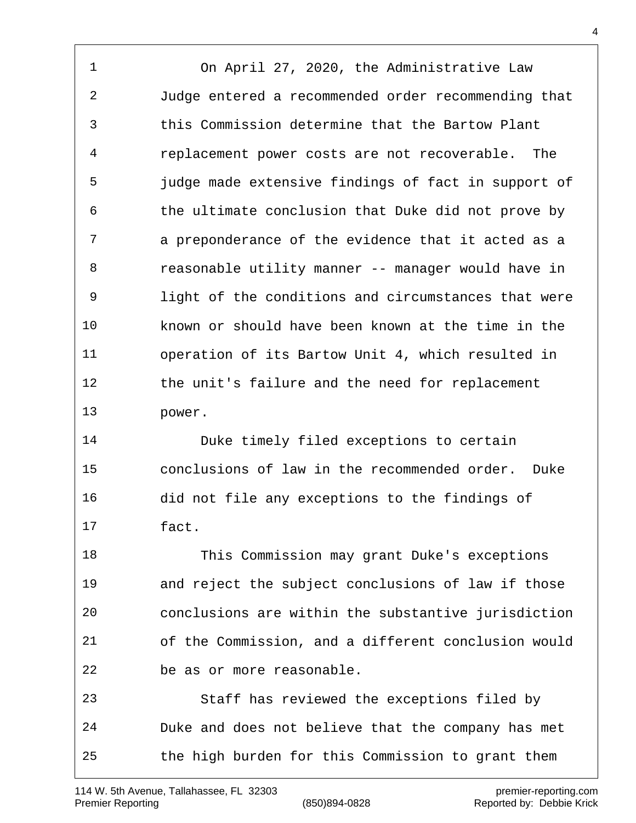On April 27, 2020, the Administrative Law Judge entered a recommended order recommending that this Commission determine that the Bartow Plant replacement power costs are not recoverable. The judge made extensive findings of fact in support of the ultimate conclusion that Duke did not prove by a preponderance of the evidence that it acted as a reasonable utility manner -- manager would have in light of the conditions and circumstances that were known or should have been known at the time in the operation of its Bartow Unit 4, which resulted in the unit's failure and the need for replacement power.

 Duke timely filed exceptions to certain conclusions of law in the recommended order. Duke did not file any exceptions to the findings of fact.

 This Commission may grant Duke's exceptions and reject the subject conclusions of law if those conclusions are within the substantive jurisdiction of the Commission, and a different conclusion would be as or more reasonable.

 Staff has reviewed the exceptions filed by Duke and does not believe that the company has met the high burden for this Commission to grant them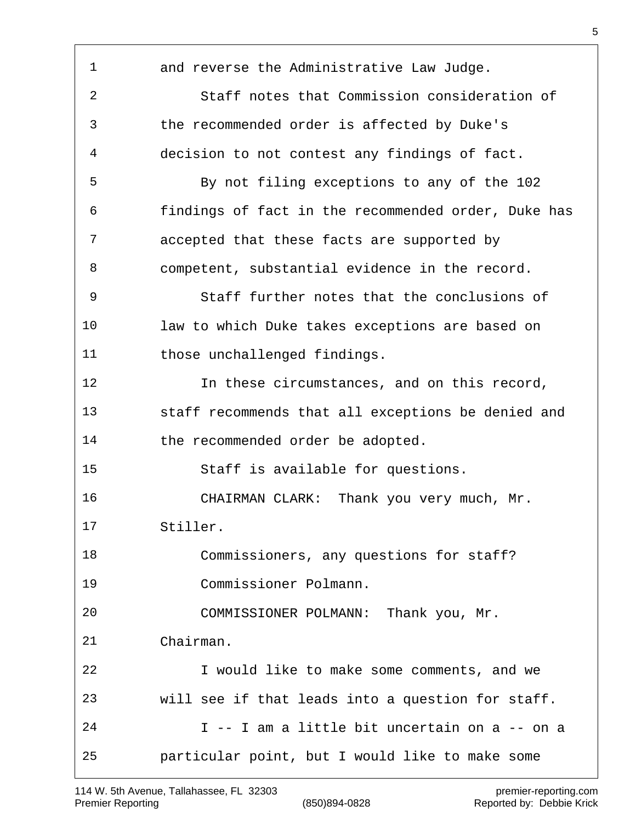and reverse the Administrative Law Judge. Staff notes that Commission consideration of the recommended order is affected by Duke's decision to not contest any findings of fact. By not filing exceptions to any of the 102 findings of fact in the recommended order, Duke has accepted that these facts are supported by competent, substantial evidence in the record. Staff further notes that the conclusions of law to which Duke takes exceptions are based on 11 those unchallenged findings. 12 12 In these circumstances, and on this record, staff recommends that all exceptions be denied and 14 the recommended order be adopted. Staff is available for questions. CHAIRMAN CLARK: Thank you very much, Mr. Stiller. Commissioners, any questions for staff? Commissioner Polmann. COMMISSIONER POLMANN: Thank you, Mr. Chairman. I would like to make some comments, and we will see if that leads into a question for staff. I -- I am a little bit uncertain on a -- on a particular point, but I would like to make some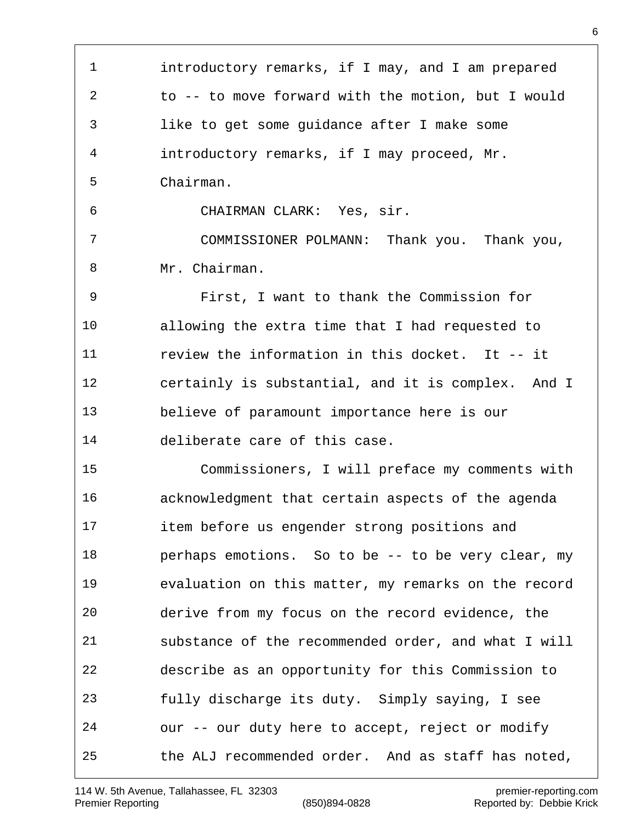introductory remarks, if I may, and I am prepared to -- to move forward with the motion, but I would like to get some guidance after I make some introductory remarks, if I may proceed, Mr. Chairman. CHAIRMAN CLARK: Yes, sir. COMMISSIONER POLMANN: Thank you. Thank you, Mr. Chairman. First, I want to thank the Commission for allowing the extra time that I had requested to review the information in this docket. It -- it certainly is substantial, and it is complex. And I believe of paramount importance here is our deliberate care of this case. Commissioners, I will preface my comments with acknowledgment that certain aspects of the agenda item before us engender strong positions and perhaps emotions. So to be -- to be very clear, my evaluation on this matter, my remarks on the record derive from my focus on the record evidence, the substance of the recommended order, and what I will describe as an opportunity for this Commission to fully discharge its duty. Simply saying, I see our -- our duty here to accept, reject or modify the ALJ recommended order. And as staff has noted,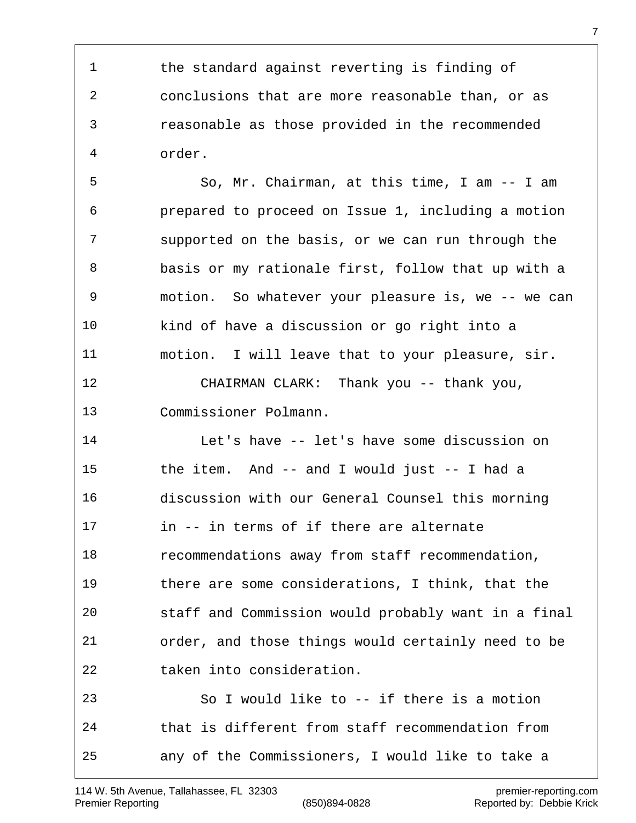the standard against reverting is finding of conclusions that are more reasonable than, or as reasonable as those provided in the recommended order.

 So, Mr. Chairman, at this time, I am -- I am prepared to proceed on Issue 1, including a motion supported on the basis, or we can run through the basis or my rationale first, follow that up with a motion. So whatever your pleasure is, we -- we can kind of have a discussion or go right into a motion. I will leave that to your pleasure, sir. CHAIRMAN CLARK: Thank you -- thank you, Commissioner Polmann.

 Let's have -- let's have some discussion on the item. And -- and I would just -- I had a discussion with our General Counsel this morning in -- in terms of if there are alternate recommendations away from staff recommendation, there are some considerations, I think, that the staff and Commission would probably want in a final order, and those things would certainly need to be taken into consideration. So I would like to -- if there is a motion that is different from staff recommendation from

any of the Commissioners, I would like to take a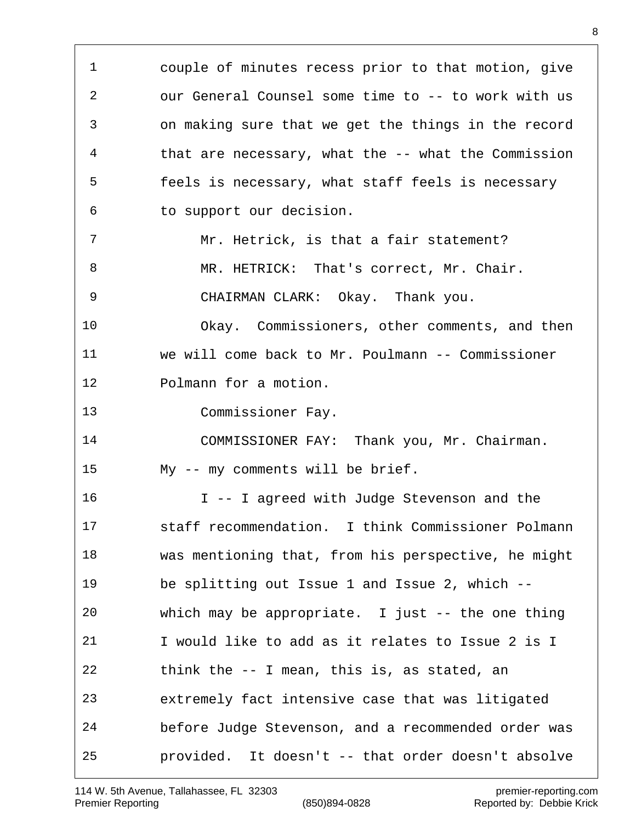couple of minutes recess prior to that motion, give our General Counsel some time to -- to work with us on making sure that we get the things in the record that are necessary, what the -- what the Commission feels is necessary, what staff feels is necessary to support our decision. Mr. Hetrick, is that a fair statement? MR. HETRICK: That's correct, Mr. Chair. CHAIRMAN CLARK: Okay. Thank you. Okay. Commissioners, other comments, and then we will come back to Mr. Poulmann -- Commissioner Polmann for a motion. Commissioner Fay. COMMISSIONER FAY: Thank you, Mr. Chairman. My -- my comments will be brief. I -- I agreed with Judge Stevenson and the staff recommendation. I think Commissioner Polmann was mentioning that, from his perspective, he might be splitting out Issue 1 and Issue 2, which -- which may be appropriate. I just -- the one thing I would like to add as it relates to Issue 2 is I think the -- I mean, this is, as stated, an extremely fact intensive case that was litigated before Judge Stevenson, and a recommended order was provided. It doesn't -- that order doesn't absolve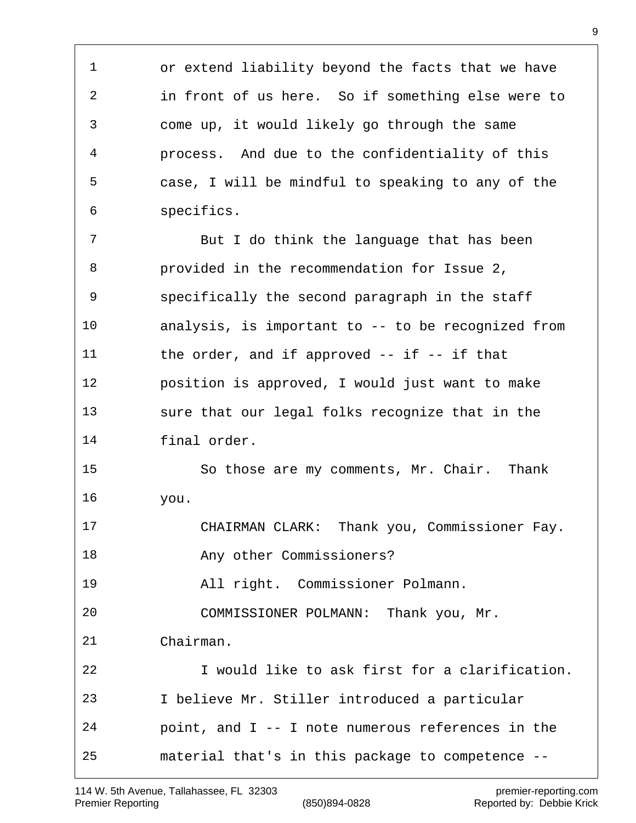or extend liability beyond the facts that we have in front of us here. So if something else were to come up, it would likely go through the same process. And due to the confidentiality of this case, I will be mindful to speaking to any of the specifics. 7 But I do think the language that has been provided in the recommendation for Issue 2, specifically the second paragraph in the staff analysis, is important to -- to be recognized from 11 the order, and if approved -- if -- if that position is approved, I would just want to make sure that our legal folks recognize that in the final order. So those are my comments, Mr. Chair. Thank you. CHAIRMAN CLARK: Thank you, Commissioner Fay. **Any other Commissioners?**  All right. Commissioner Polmann. COMMISSIONER POLMANN: Thank you, Mr. Chairman. I would like to ask first for a clarification. I believe Mr. Stiller introduced a particular point, and I -- I note numerous references in the material that's in this package to competence --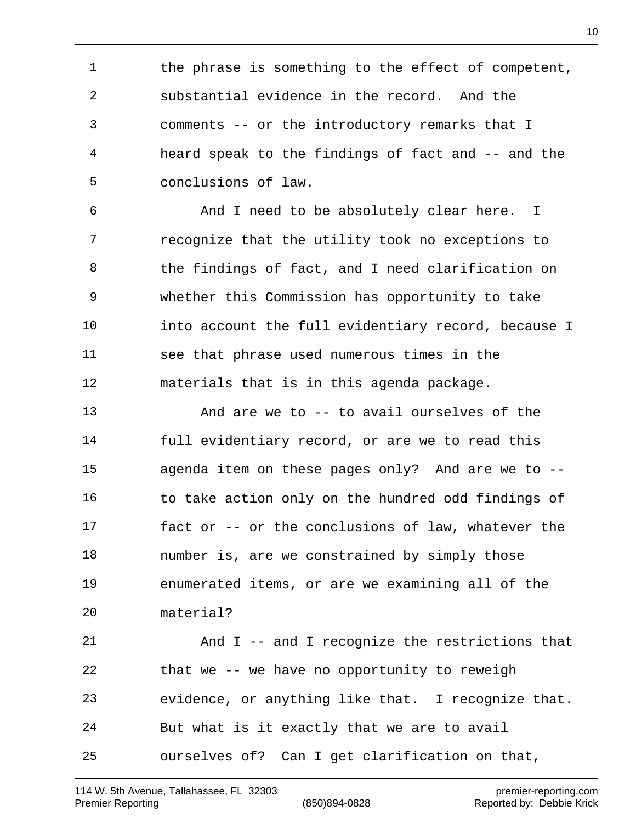1 the phrase is something to the effect of competent, substantial evidence in the record. And the comments -- or the introductory remarks that I heard speak to the findings of fact and -- and the conclusions of law.

 And I need to be absolutely clear here. I recognize that the utility took no exceptions to the findings of fact, and I need clarification on whether this Commission has opportunity to take into account the full evidentiary record, because I see that phrase used numerous times in the materials that is in this agenda package.

 And are we to -- to avail ourselves of the full evidentiary record, or are we to read this agenda item on these pages only? And are we to -- 16 to take action only on the hundred odd findings of fact or -- or the conclusions of law, whatever the number is, are we constrained by simply those enumerated items, or are we examining all of the material? And I -- and I recognize the restrictions that that we -- we have no opportunity to reweigh evidence, or anything like that. I recognize that. But what is it exactly that we are to avail ourselves of? Can I get clarification on that,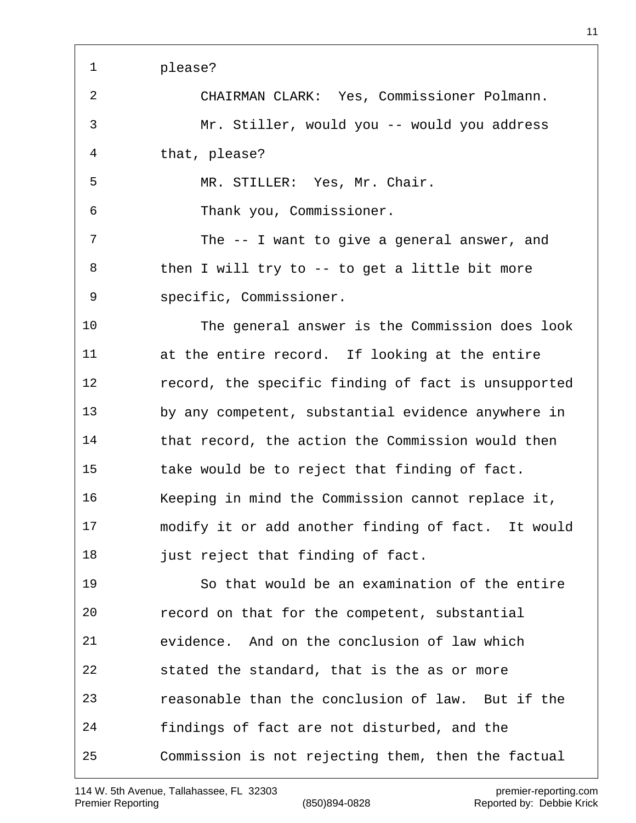| 1  | please?                                             |
|----|-----------------------------------------------------|
| 2  | CHAIRMAN CLARK: Yes, Commissioner Polmann.          |
| 3  | Mr. Stiller, would you -- would you address         |
| 4  | that, please?                                       |
| 5  | MR. STILLER: Yes, Mr. Chair.                        |
| 6  | Thank you, Commissioner.                            |
| 7  | The -- I want to give a general answer, and         |
| 8  | then I will try to -- to get a little bit more      |
| 9  | specific, Commissioner.                             |
| 10 | The general answer is the Commission does look      |
| 11 | at the entire record. If looking at the entire      |
| 12 | record, the specific finding of fact is unsupported |
| 13 | by any competent, substantial evidence anywhere in  |
| 14 | that record, the action the Commission would then   |
| 15 | take would be to reject that finding of fact.       |
| 16 | Keeping in mind the Commission cannot replace it,   |
| 17 | modify it or add another finding of fact. It would  |
| 18 | just reject that finding of fact.                   |
| 19 | So that would be an examination of the entire       |
| 20 | record on that for the competent, substantial       |
| 21 | evidence. And on the conclusion of law which        |
| 22 | stated the standard, that is the as or more         |
| 23 | reasonable than the conclusion of law. But if the   |
| 24 | findings of fact are not disturbed, and the         |
| 25 | Commission is not rejecting them, then the factual  |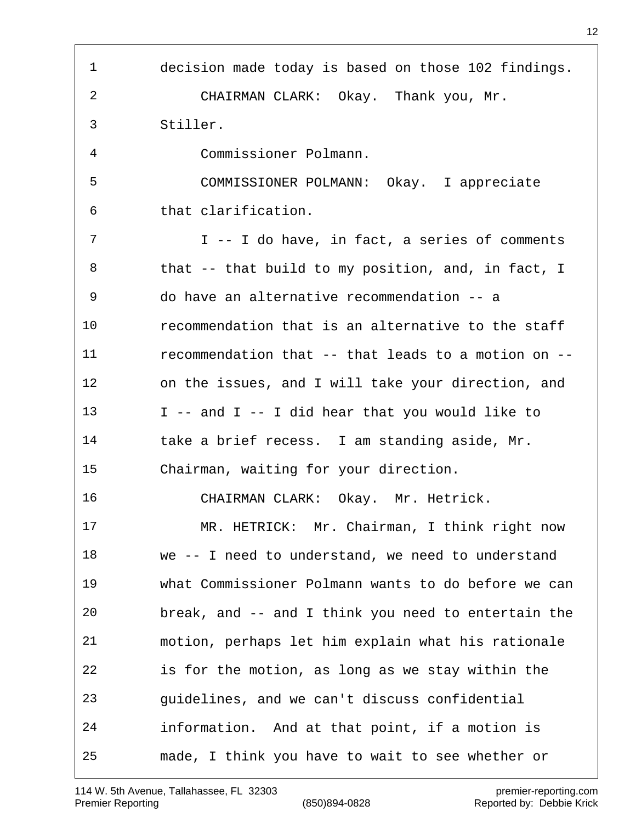| 1  | decision made today is based on those 102 findings. |
|----|-----------------------------------------------------|
| 2  | CHAIRMAN CLARK: Okay. Thank you, Mr.                |
| 3  | Stiller.                                            |
| 4  | Commissioner Polmann.                               |
| 5  | COMMISSIONER POLMANN: Okay. I appreciate            |
| 6  | that clarification.                                 |
| 7  | I -- I do have, in fact, a series of comments       |
| 8  | that -- that build to my position, and, in fact, I  |
| 9  | do have an alternative recommendation -- a          |
| 10 | recommendation that is an alternative to the staff  |
| 11 | recommendation that -- that leads to a motion on -- |
| 12 | on the issues, and I will take your direction, and  |
| 13 | I -- and I -- I did hear that you would like to     |
| 14 | take a brief recess. I am standing aside, Mr.       |
| 15 | Chairman, waiting for your direction.               |
| 16 | CHAIRMAN CLARK: Okay. Mr. Hetrick.                  |
| 17 | MR. HETRICK: Mr. Chairman, I think right now        |
| 18 | we -- I need to understand, we need to understand   |
| 19 | what Commissioner Polmann wants to do before we can |
| 20 | break, and -- and I think you need to entertain the |
| 21 | motion, perhaps let him explain what his rationale  |
| 22 | is for the motion, as long as we stay within the    |
| 23 | guidelines, and we can't discuss confidential       |
| 24 | information. And at that point, if a motion is      |
| 25 | made, I think you have to wait to see whether or    |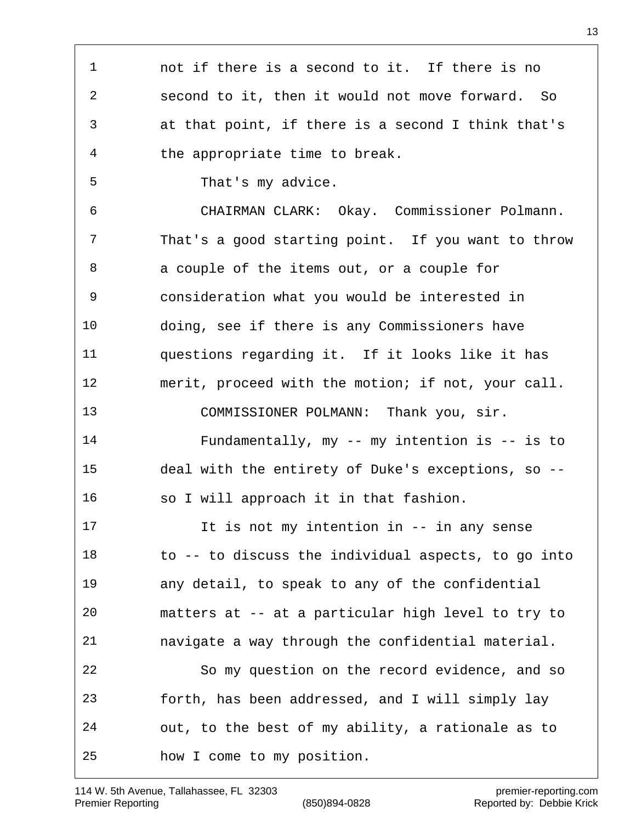| $\mathbf 1$    | not if there is a second to it. If there is no      |
|----------------|-----------------------------------------------------|
| 2              | second to it, then it would not move forward. So    |
| 3              | at that point, if there is a second I think that's  |
| $\overline{4}$ | the appropriate time to break.                      |
| 5              | That's my advice.                                   |
| 6              | CHAIRMAN CLARK: Okay. Commissioner Polmann.         |
| 7              | That's a good starting point. If you want to throw  |
| 8              | a couple of the items out, or a couple for          |
| 9              | consideration what you would be interested in       |
| 10             | doing, see if there is any Commissioners have       |
| 11             | questions regarding it. If it looks like it has     |
| 12             | merit, proceed with the motion; if not, your call.  |
| 13             | COMMISSIONER POLMANN: Thank you, sir.               |
| 14             | Fundamentally, my -- my intention is -- is to       |
| 15             | deal with the entirety of Duke's exceptions, so --  |
| 16             | so I will approach it in that fashion.              |
| 17             | It is not my intention in -- in any sense           |
| 18             | to -- to discuss the individual aspects, to go into |
| 19             | any detail, to speak to any of the confidential     |
| 20             | matters at -- at a particular high level to try to  |
| 21             | navigate a way through the confidential material.   |
| 22             | So my question on the record evidence, and so       |
| 23             | forth, has been addressed, and I will simply lay    |
| 24             | out, to the best of my ability, a rationale as to   |
| 25             | how I come to my position.                          |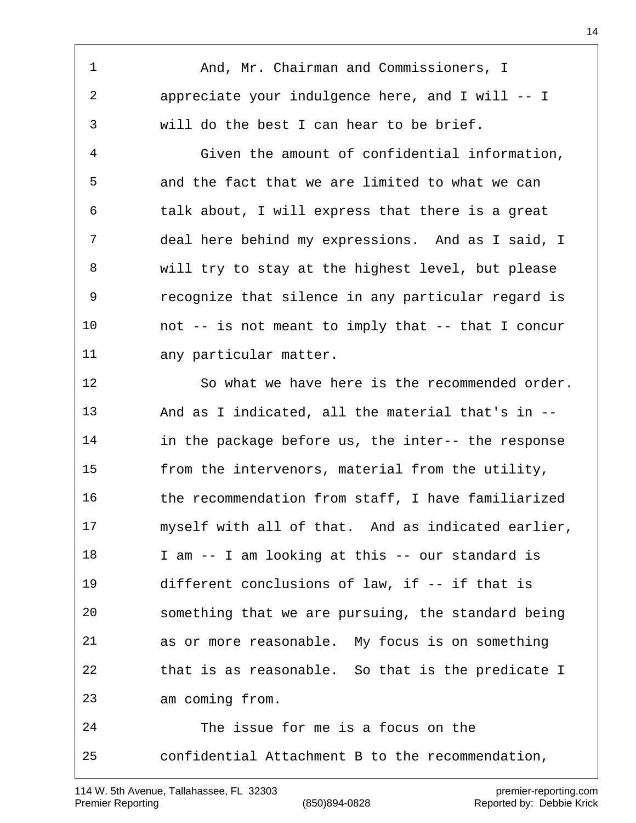And, Mr. Chairman and Commissioners, I appreciate your indulgence here, and I will -- I will do the best I can hear to be brief.

 Given the amount of confidential information, and the fact that we are limited to what we can talk about, I will express that there is a great deal here behind my expressions. And as I said, I will try to stay at the highest level, but please recognize that silence in any particular regard is not -- is not meant to imply that -- that I concur any particular matter.

 So what we have here is the recommended order. And as I indicated, all the material that's in -- in the package before us, the inter-- the response from the intervenors, material from the utility, the recommendation from staff, I have familiarized myself with all of that. And as indicated earlier, I am -- I am looking at this -- our standard is different conclusions of law, if -- if that is something that we are pursuing, the standard being as or more reasonable. My focus is on something that is as reasonable. So that is the predicate I am coming from. The issue for me is a focus on the

confidential Attachment B to the recommendation,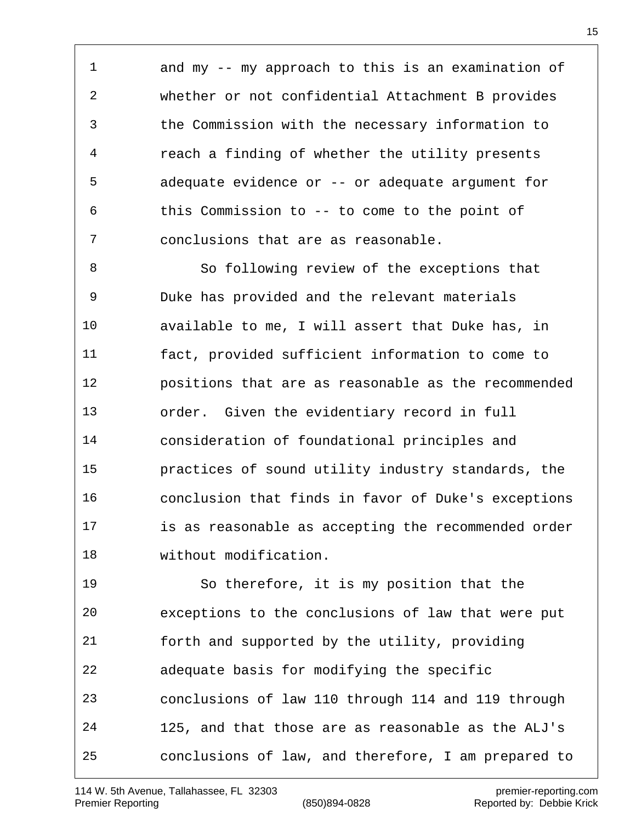and my -- my approach to this is an examination of whether or not confidential Attachment B provides the Commission with the necessary information to reach a finding of whether the utility presents adequate evidence or -- or adequate argument for this Commission to -- to come to the point of conclusions that are as reasonable.

 So following review of the exceptions that Duke has provided and the relevant materials available to me, I will assert that Duke has, in fact, provided sufficient information to come to positions that are as reasonable as the recommended order. Given the evidentiary record in full consideration of foundational principles and practices of sound utility industry standards, the conclusion that finds in favor of Duke's exceptions is as reasonable as accepting the recommended order without modification.

 So therefore, it is my position that the exceptions to the conclusions of law that were put forth and supported by the utility, providing adequate basis for modifying the specific conclusions of law 110 through 114 and 119 through 125, and that those are as reasonable as the ALJ's conclusions of law, and therefore, I am prepared to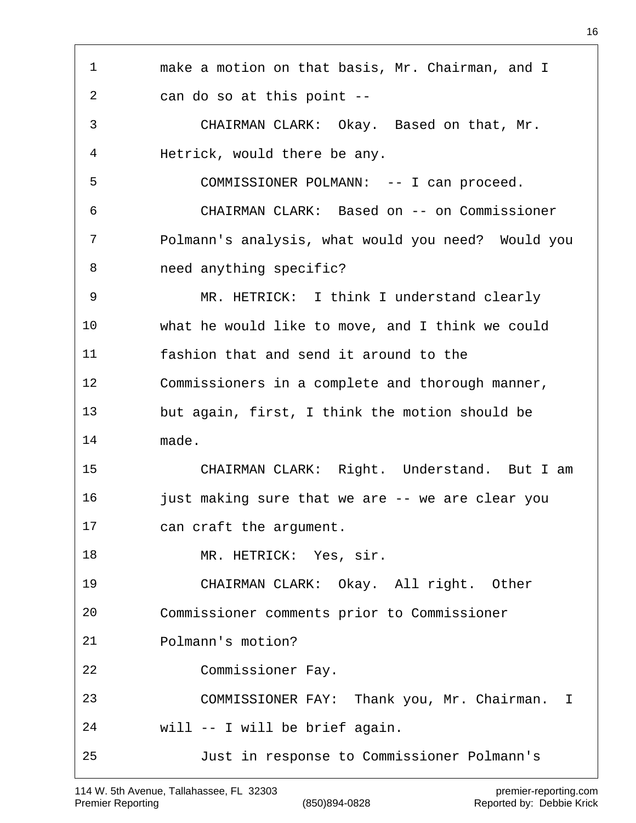| 1  | make a motion on that basis, Mr. Chairman, and I   |
|----|----------------------------------------------------|
| 2  | can do so at this point --                         |
|    |                                                    |
| 3  | CHAIRMAN CLARK: Okay. Based on that, Mr.           |
| 4  | Hetrick, would there be any.                       |
| 5  | COMMISSIONER POLMANN: -- I can proceed.            |
| 6  | CHAIRMAN CLARK: Based on -- on Commissioner        |
| 7  | Polmann's analysis, what would you need? Would you |
| 8  | need anything specific?                            |
| 9  | MR. HETRICK: I think I understand clearly          |
| 10 | what he would like to move, and I think we could   |
| 11 | fashion that and send it around to the             |
| 12 | Commissioners in a complete and thorough manner,   |
| 13 | but again, first, I think the motion should be     |
| 14 | made.                                              |
| 15 | CHAIRMAN CLARK: Right. Understand. But I am        |
| 16 | just making sure that we are -- we are clear you   |
| 17 | can craft the argument.                            |
| 18 | MR. HETRICK: Yes, sir.                             |
| 19 | CHAIRMAN CLARK: Okay. All right. Other             |
| 20 | Commissioner comments prior to Commissioner        |
| 21 | Polmann's motion?                                  |
| 22 | Commissioner Fay.                                  |
| 23 | COMMISSIONER FAY: Thank you, Mr. Chairman.<br>I    |
| 24 | will -- I will be brief again.                     |
| 25 | Just in response to Commissioner Polmann's         |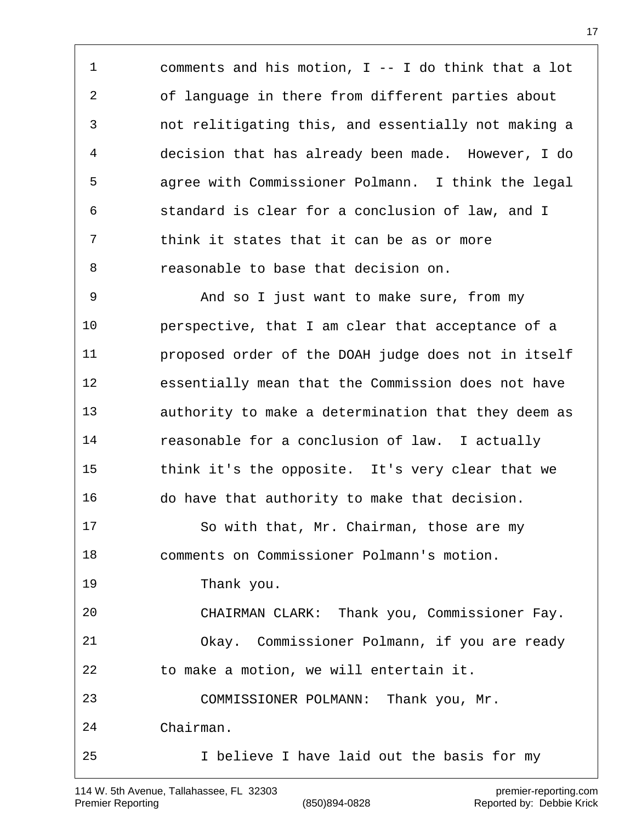comments and his motion, I -- I do think that a lot of language in there from different parties about not relitigating this, and essentially not making a decision that has already been made. However, I do agree with Commissioner Polmann. I think the legal standard is clear for a conclusion of law, and I think it states that it can be as or more reasonable to base that decision on.

 And so I just want to make sure, from my perspective, that I am clear that acceptance of a proposed order of the DOAH judge does not in itself essentially mean that the Commission does not have authority to make a determination that they deem as reasonable for a conclusion of law. I actually think it's the opposite. It's very clear that we do have that authority to make that decision. 17 So with that, Mr. Chairman, those are my comments on Commissioner Polmann's motion. Thank you. CHAIRMAN CLARK: Thank you, Commissioner Fay. Okay. Commissioner Polmann, if you are ready to make a motion, we will entertain it. COMMISSIONER POLMANN: Thank you, Mr. Chairman. I believe I have laid out the basis for my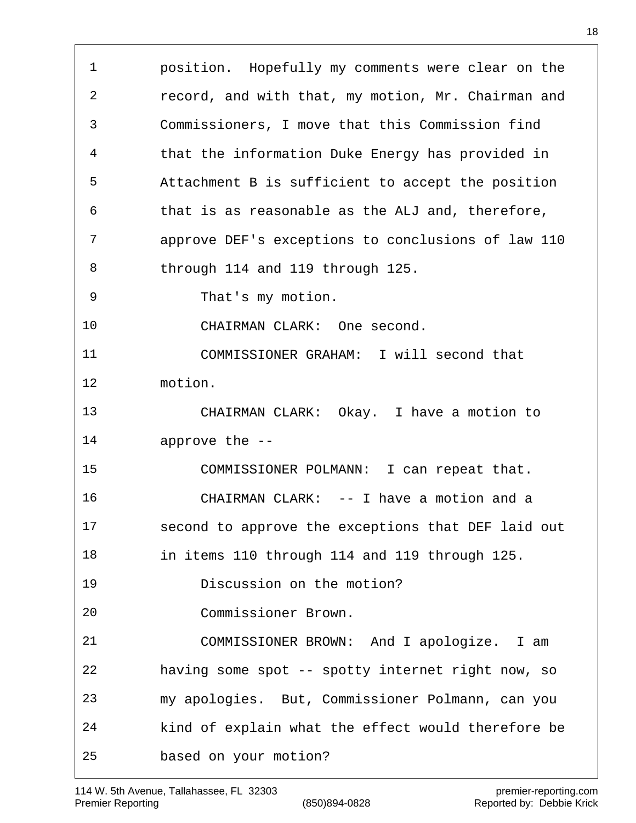position. Hopefully my comments were clear on the record, and with that, my motion, Mr. Chairman and Commissioners, I move that this Commission find that the information Duke Energy has provided in Attachment B is sufficient to accept the position that is as reasonable as the ALJ and, therefore, approve DEF's exceptions to conclusions of law 110 through 114 and 119 through 125. That's my motion. CHAIRMAN CLARK: One second. COMMISSIONER GRAHAM: I will second that motion. CHAIRMAN CLARK: Okay. I have a motion to approve the -- COMMISSIONER POLMANN: I can repeat that. CHAIRMAN CLARK: -- I have a motion and a second to approve the exceptions that DEF laid out in items 110 through 114 and 119 through 125. Discussion on the motion? Commissioner Brown. COMMISSIONER BROWN: And I apologize. I am having some spot -- spotty internet right now, so my apologies. But, Commissioner Polmann, can you kind of explain what the effect would therefore be based on your motion?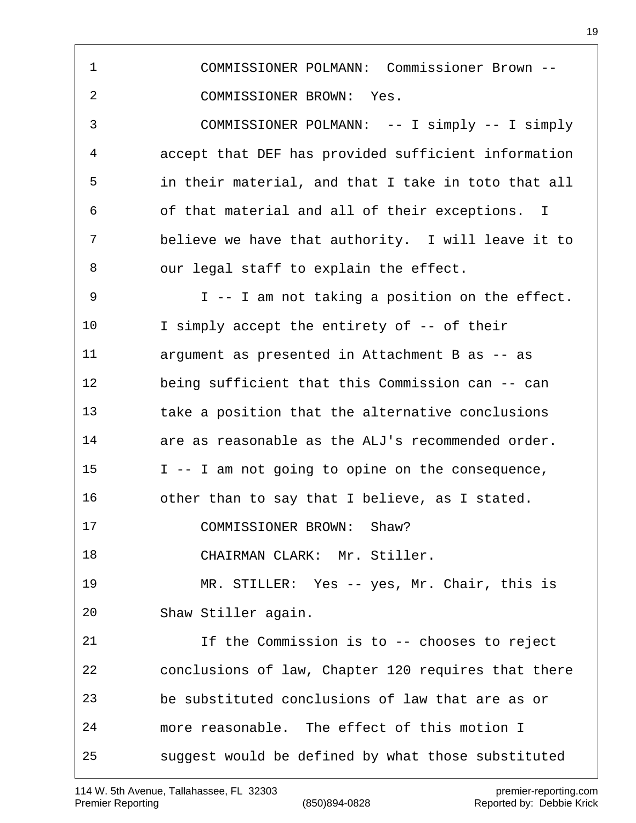COMMISSIONER POLMANN: Commissioner Brown -- COMMISSIONER BROWN: Yes. COMMISSIONER POLMANN: -- I simply -- I simply accept that DEF has provided sufficient information in their material, and that I take in toto that all of that material and all of their exceptions. I believe we have that authority. I will leave it to our legal staff to explain the effect. I -- I am not taking a position on the effect. I simply accept the entirety of -- of their argument as presented in Attachment B as -- as being sufficient that this Commission can -- can take a position that the alternative conclusions are as reasonable as the ALJ's recommended order. I -- I am not going to opine on the consequence, other than to say that I believe, as I stated. COMMISSIONER BROWN: Shaw? CHAIRMAN CLARK: Mr. Stiller. MR. STILLER: Yes -- yes, Mr. Chair, this is Shaw Stiller again. If the Commission is to -- chooses to reject conclusions of law, Chapter 120 requires that there be substituted conclusions of law that are as or more reasonable. The effect of this motion I suggest would be defined by what those substituted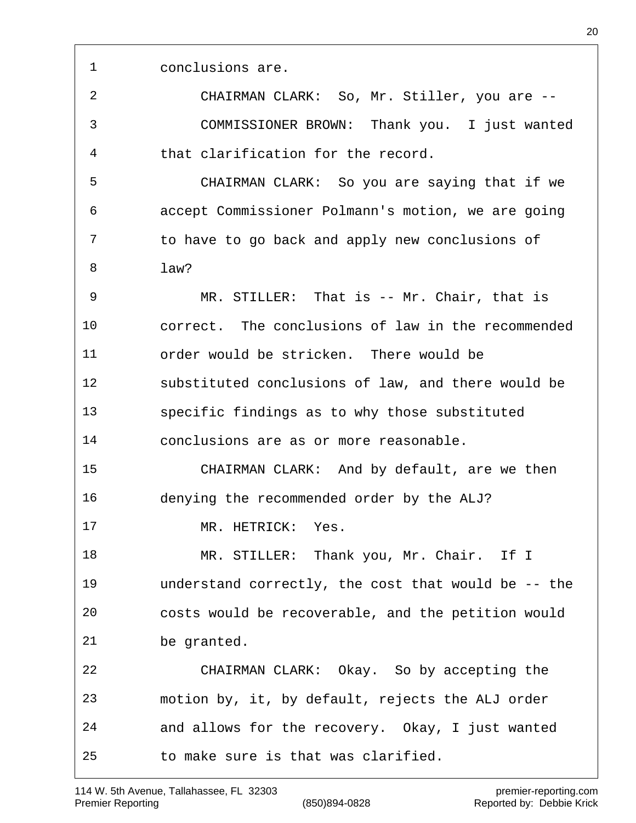conclusions are.

 CHAIRMAN CLARK: So, Mr. Stiller, you are -- COMMISSIONER BROWN: Thank you. I just wanted that clarification for the record.

 CHAIRMAN CLARK: So you are saying that if we accept Commissioner Polmann's motion, we are going to have to go back and apply new conclusions of law?

 MR. STILLER: That is -- Mr. Chair, that is correct. The conclusions of law in the recommended order would be stricken. There would be substituted conclusions of law, and there would be specific findings as to why those substituted conclusions are as or more reasonable.

 CHAIRMAN CLARK: And by default, are we then denying the recommended order by the ALJ?

MR. HETRICK: Yes.

18 MR. STILLER: Thank you, Mr. Chair. If I understand correctly, the cost that would be -- the costs would be recoverable, and the petition would be granted.

 CHAIRMAN CLARK: Okay. So by accepting the motion by, it, by default, rejects the ALJ order and allows for the recovery. Okay, I just wanted to make sure is that was clarified.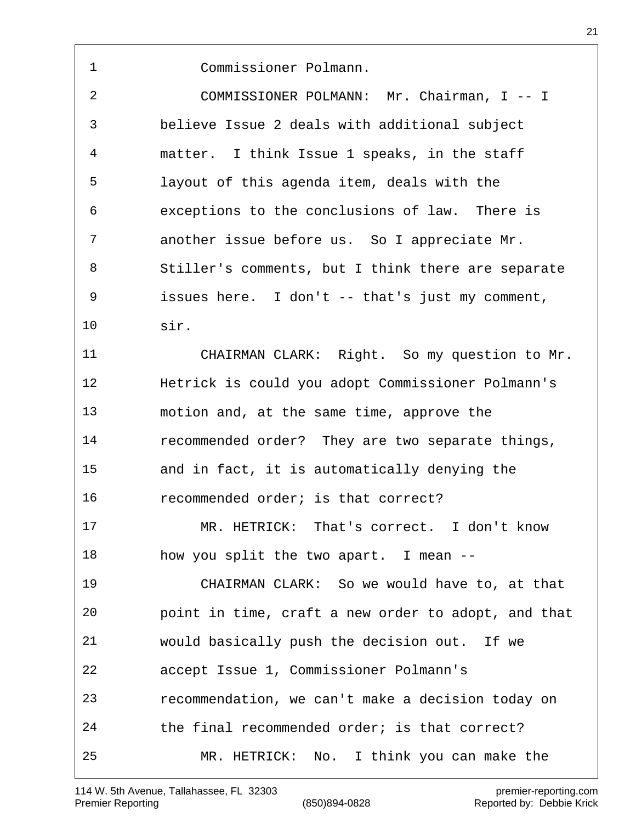114 W. 5th Avenue, Tallahassee, FL 32303 premier-reporting.com

Premier Reporting (850)894-0828 Reported by: Debbie Krick

Commissioner Polmann.

 COMMISSIONER POLMANN: Mr. Chairman, I -- I believe Issue 2 deals with additional subject matter. I think Issue 1 speaks, in the staff layout of this agenda item, deals with the exceptions to the conclusions of law. There is another issue before us. So I appreciate Mr. Stiller's comments, but I think there are separate issues here. I don't -- that's just my comment, sir.

 CHAIRMAN CLARK: Right. So my question to Mr. Hetrick is could you adopt Commissioner Polmann's motion and, at the same time, approve the recommended order? They are two separate things, and in fact, it is automatically denying the recommended order; is that correct?

 MR. HETRICK: That's correct. I don't know how you split the two apart. I mean --

 CHAIRMAN CLARK: So we would have to, at that point in time, craft a new order to adopt, and that would basically push the decision out. If we accept Issue 1, Commissioner Polmann's recommendation, we can't make a decision today on the final recommended order; is that correct? MR. HETRICK: No. I think you can make the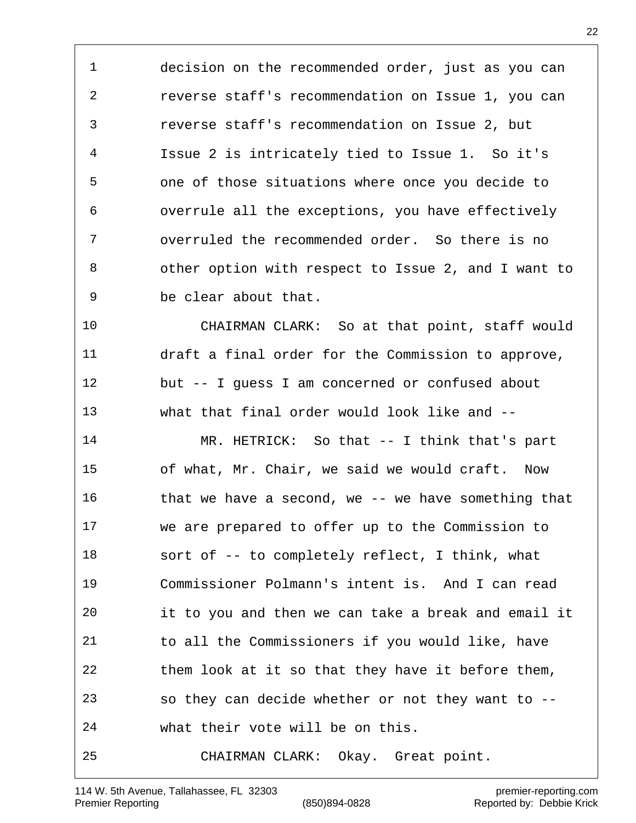decision on the recommended order, just as you can reverse staff's recommendation on Issue 1, you can reverse staff's recommendation on Issue 2, but Issue 2 is intricately tied to Issue 1. So it's one of those situations where once you decide to overrule all the exceptions, you have effectively overruled the recommended order. So there is no other option with respect to Issue 2, and I want to be clear about that.

 CHAIRMAN CLARK: So at that point, staff would draft a final order for the Commission to approve, but -- I guess I am concerned or confused about what that final order would look like and --

 MR. HETRICK: So that -- I think that's part of what, Mr. Chair, we said we would craft. Now that we have a second, we -- we have something that we are prepared to offer up to the Commission to sort of -- to completely reflect, I think, what Commissioner Polmann's intent is. And I can read it to you and then we can take a break and email it to all the Commissioners if you would like, have them look at it so that they have it before them, so they can decide whether or not they want to -- what their vote will be on this. CHAIRMAN CLARK: Okay. Great point.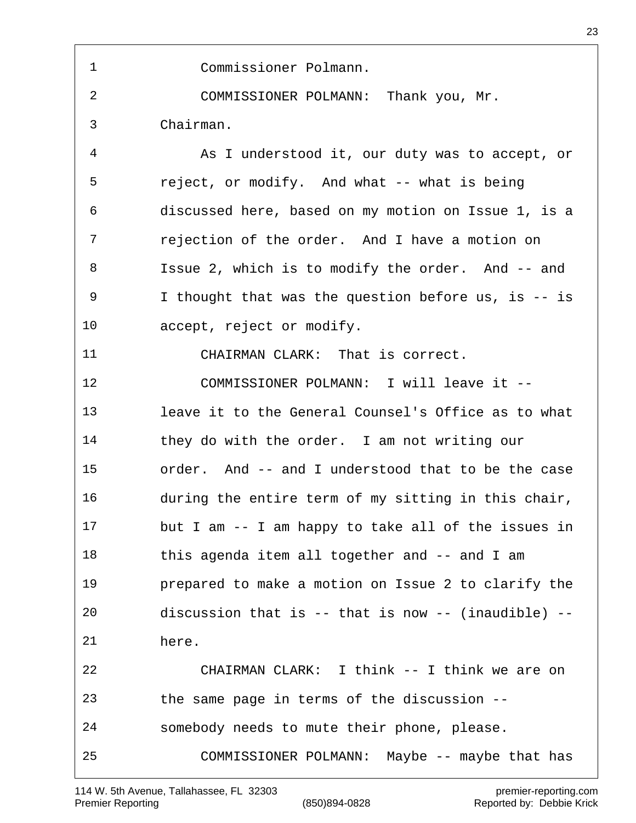Commissioner Polmann. COMMISSIONER POLMANN: Thank you, Mr. Chairman. As I understood it, our duty was to accept, or reject, or modify. And what -- what is being discussed here, based on my motion on Issue 1, is a rejection of the order. And I have a motion on Issue 2, which is to modify the order. And -- and I thought that was the question before us, is -- is accept, reject or modify. CHAIRMAN CLARK: That is correct. COMMISSIONER POLMANN: I will leave it -- leave it to the General Counsel's Office as to what they do with the order. I am not writing our order. And -- and I understood that to be the case during the entire term of my sitting in this chair, but I am -- I am happy to take all of the issues in 18 this agenda item all together and -- and I am prepared to make a motion on Issue 2 to clarify the discussion that is -- that is now -- (inaudible) -- here. CHAIRMAN CLARK: I think -- I think we are on the same page in terms of the discussion -- somebody needs to mute their phone, please. COMMISSIONER POLMANN: Maybe -- maybe that has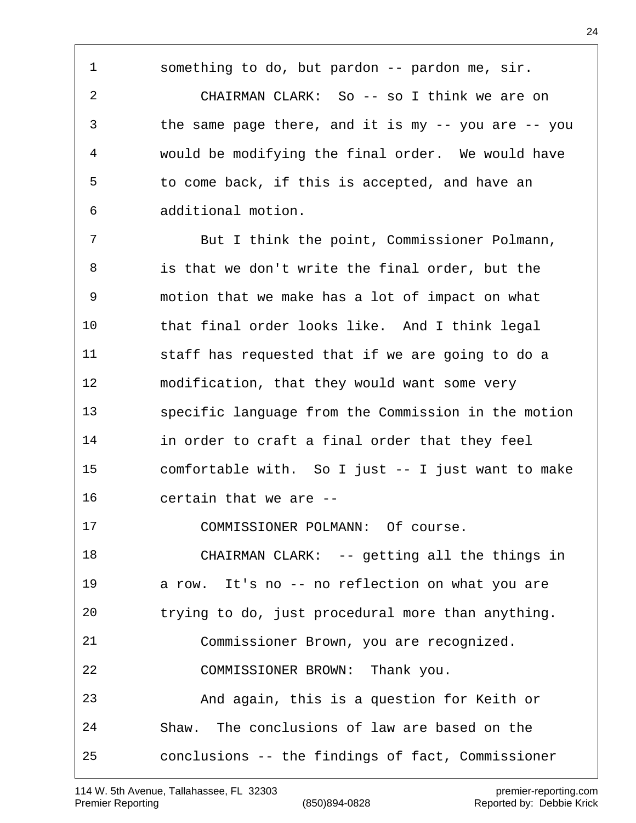something to do, but pardon -- pardon me, sir.

 CHAIRMAN CLARK: So -- so I think we are on the same page there, and it is my -- you are -- you would be modifying the final order. We would have to come back, if this is accepted, and have an additional motion.

 But I think the point, Commissioner Polmann, is that we don't write the final order, but the motion that we make has a lot of impact on what that final order looks like. And I think legal staff has requested that if we are going to do a modification, that they would want some very specific language from the Commission in the motion in order to craft a final order that they feel comfortable with. So I just -- I just want to make certain that we are -- COMMISSIONER POLMANN: Of course.

18 CHAIRMAN CLARK: -- getting all the things in a row. It's no -- no reflection on what you are trying to do, just procedural more than anything. Commissioner Brown, you are recognized. COMMISSIONER BROWN: Thank you. And again, this is a question for Keith or Shaw. The conclusions of law are based on the conclusions -- the findings of fact, Commissioner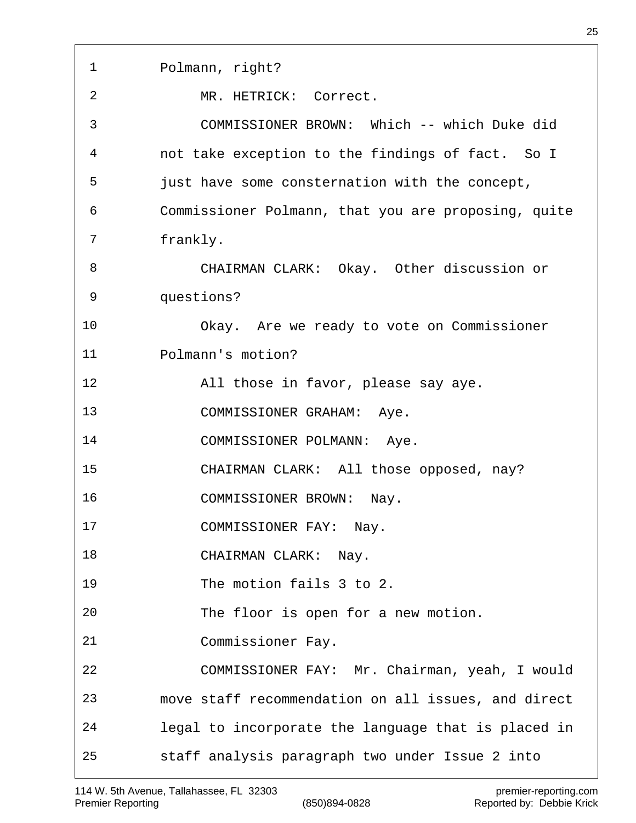| 1  | Polmann, right?                                     |
|----|-----------------------------------------------------|
| 2  | MR. HETRICK: Correct.                               |
| 3  | COMMISSIONER BROWN: Which -- which Duke did         |
| 4  | not take exception to the findings of fact. So I    |
| 5  | just have some consternation with the concept,      |
| 6  | Commissioner Polmann, that you are proposing, quite |
| 7  | frankly.                                            |
| 8  | CHAIRMAN CLARK: Okay. Other discussion or           |
| 9  | questions?                                          |
| 10 | Okay. Are we ready to vote on Commissioner          |
| 11 | Polmann's motion?                                   |
| 12 | All those in favor, please say aye.                 |
| 13 | COMMISSIONER GRAHAM: Aye.                           |
| 14 | COMMISSIONER POLMANN: Aye.                          |
| 15 | CHAIRMAN CLARK: All those opposed, nay?             |
| 16 | COMMISSIONER BROWN:<br>Nay.                         |
| 17 | COMMISSIONER FAY: Nay.                              |
| 18 | CHAIRMAN CLARK: Nay.                                |
| 19 | The motion fails 3 to 2.                            |
| 20 | The floor is open for a new motion.                 |
| 21 | Commissioner Fay.                                   |
| 22 | COMMISSIONER FAY: Mr. Chairman, yeah, I would       |
| 23 | move staff recommendation on all issues, and direct |
| 24 | legal to incorporate the language that is placed in |
| 25 | staff analysis paragraph two under Issue 2 into     |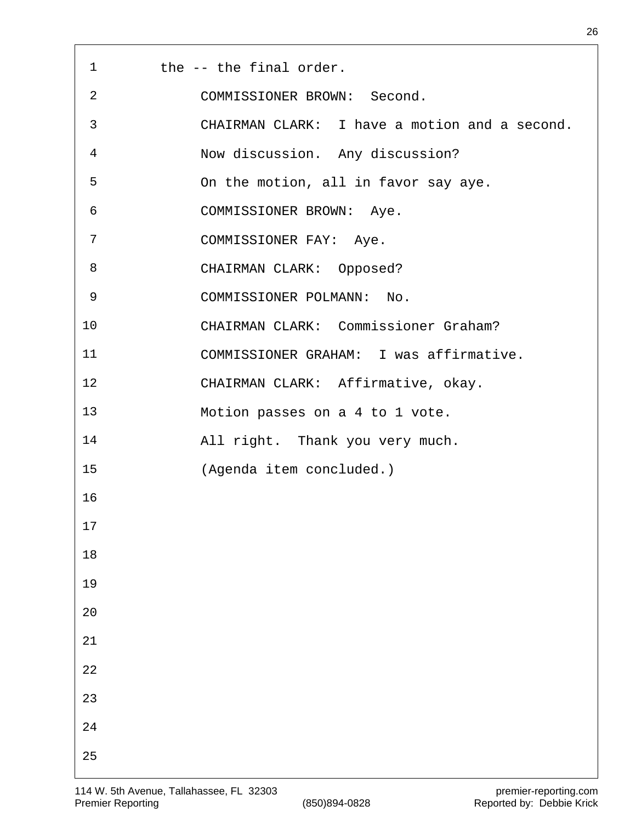| $\mathbf{1}$ | the -- the final order.                       |
|--------------|-----------------------------------------------|
| 2            | COMMISSIONER BROWN: Second.                   |
| 3            | CHAIRMAN CLARK: I have a motion and a second. |
| 4            | Now discussion. Any discussion?               |
| 5            | On the motion, all in favor say aye.          |
| 6            | COMMISSIONER BROWN: Aye.                      |
| 7            | COMMISSIONER FAY: Aye.                        |
| 8            | CHAIRMAN CLARK: Opposed?                      |
| 9            | COMMISSIONER POLMANN: No.                     |
| 10           | CHAIRMAN CLARK: Commissioner Graham?          |
| 11           | COMMISSIONER GRAHAM: I was affirmative.       |
| 12           | CHAIRMAN CLARK: Affirmative, okay.            |
| 13           | Motion passes on a 4 to 1 vote.               |
| 14           | All right. Thank you very much.               |
| 15           | (Agenda item concluded.)                      |
| 16           |                                               |
| $17$         |                                               |
| $18\,$       |                                               |
| 19           |                                               |
| 20           |                                               |
| 21           |                                               |
| $2\sqrt{2}$  |                                               |
| 23           |                                               |
| 24           |                                               |
| 25           |                                               |